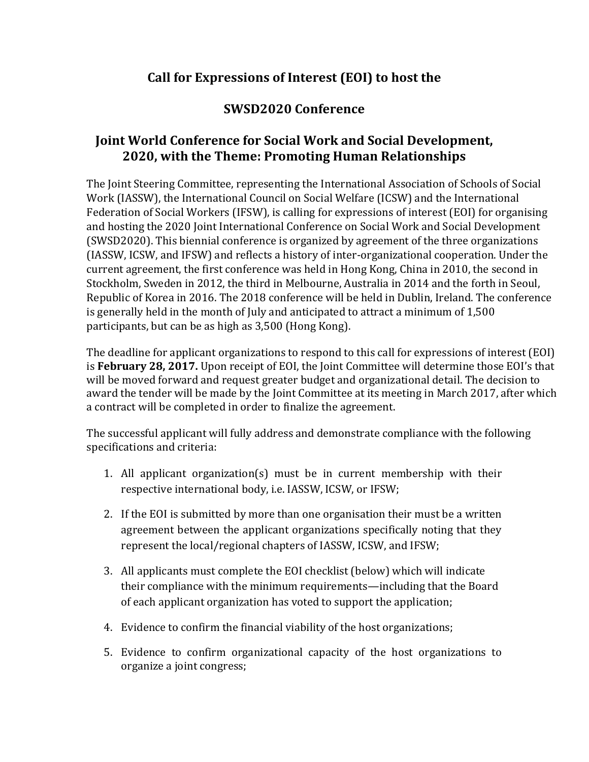# **Call for Expressions of Interest (EOI) to host the**

# **SWSD2020 Conference**

# **Joint World Conference for Social Work and Social Development, 2020, with the Theme: Promoting Human Relationships**

The Joint Steering Committee, representing the International Association of Schools of Social Work (IASSW), the International Council on Social Welfare (ICSW) and the International Federation of Social Workers (IFSW), is calling for expressions of interest (EOI) for organising and hosting the 2020 Joint International Conference on Social Work and Social Development (SWSD2020). This biennial conference is organized by agreement of the three organizations (IASSW, ICSW, and IFSW) and reflects a history of inter-organizational cooperation. Under the current agreement, the first conference was held in Hong Kong, China in 2010, the second in Stockholm, Sweden in 2012, the third in Melbourne, Australia in 2014 and the forth in Seoul, Republic of Korea in 2016. The 2018 conference will be held in Dublin, Ireland. The conference is generally held in the month of July and anticipated to attract a minimum of 1,500 participants, but can be as high as 3,500 (Hong Kong).

The deadline for applicant organizations to respond to this call for expressions of interest (EOI) is **February 28, 2017.** Upon receipt of EOI, the Joint Committee will determine those EOI's that will be moved forward and request greater budget and organizational detail. The decision to award the tender will be made by the Joint Committee at its meeting in March 2017, after which a contract will be completed in order to finalize the agreement.

The successful applicant will fully address and demonstrate compliance with the following specifications and criteria:

- 1. All applicant organization(s) must be in current membership with their respective international body, i.e. IASSW, ICSW, or IFSW;
- 2. If the EOI is submitted by more than one organisation their must be a written agreement between the applicant organizations specifically noting that they represent the local/regional chapters of IASSW, ICSW, and IFSW;
- 3. All applicants must complete the EOI checklist (below) which will indicate their compliance with the minimum requirements—including that the Board of each applicant organization has voted to support the application;
- 4. Evidence to confirm the financial viability of the host organizations;
- 5. Evidence to confirm organizational capacity of the host organizations to organize a joint congress;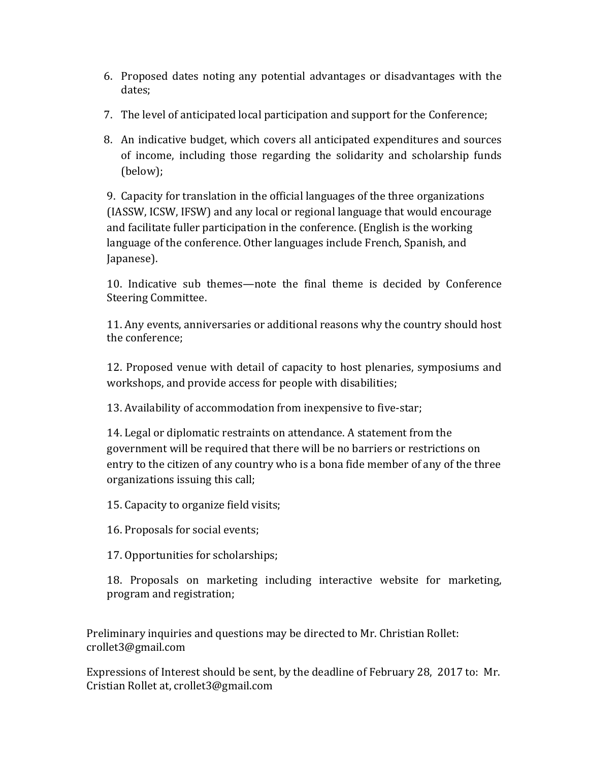- 6. Proposed dates noting any potential advantages or disadvantages with the dates;
- 7. The level of anticipated local participation and support for the Conference;
- 8. An indicative budget, which covers all anticipated expenditures and sources of income, including those regarding the solidarity and scholarship funds (below);

9. Capacity for translation in the official languages of the three organizations (IASSW, ICSW, IFSW) and any local or regional language that would encourage and facilitate fuller participation in the conference. (English is the working language of the conference. Other languages include French, Spanish, and Japanese).

10. Indicative sub themes—note the final theme is decided by Conference Steering Committee.

11. Any events, anniversaries or additional reasons why the country should host the conference;

12. Proposed venue with detail of capacity to host plenaries, symposiums and workshops, and provide access for people with disabilities;

13. Availability of accommodation from inexpensive to five-star;

14. Legal or diplomatic restraints on attendance. A statement from the government will be required that there will be no barriers or restrictions on entry to the citizen of any country who is a bona fide member of any of the three organizations issuing this call;

15. Capacity to organize field visits;

16. Proposals for social events;

17. Opportunities for scholarships;

18. Proposals on marketing including interactive website for marketing, program and registration;

Preliminary inquiries and questions may be directed to Mr. Christian Rollet: crollet3@gmail.com

Expressions of Interest should be sent, by the deadline of February 28, 2017 to: Mr. Cristian Rollet at, crollet3@gmail.com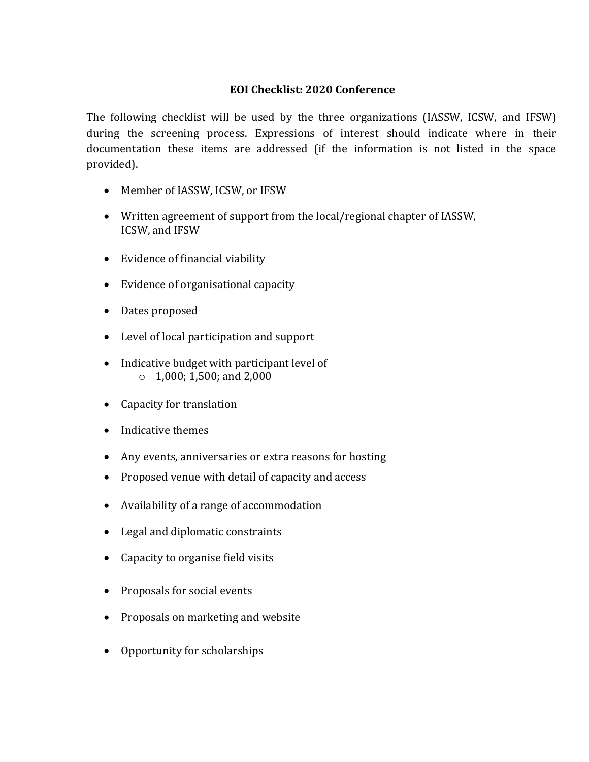### **EOI Checklist: 2020 Conference**

The following checklist will be used by the three organizations (IASSW, ICSW, and IFSW) during the screening process. Expressions of interest should indicate where in their documentation these items are addressed (if the information is not listed in the space provided).

- Member of IASSW, ICSW, or IFSW
- Written agreement of support from the local/regional chapter of IASSW, ICSW, and IFSW
- Evidence of financial viability
- Evidence of organisational capacity
- Dates proposed
- Level of local participation and support
- Indicative budget with participant level of  $\circ$  1,000; 1,500; and 2,000
- Capacity for translation
- Indicative themes
- Any events, anniversaries or extra reasons for hosting
- Proposed venue with detail of capacity and access
- Availability of a range of accommodation
- Legal and diplomatic constraints
- Capacity to organise field visits
- Proposals for social events
- Proposals on marketing and website
- Opportunity for scholarships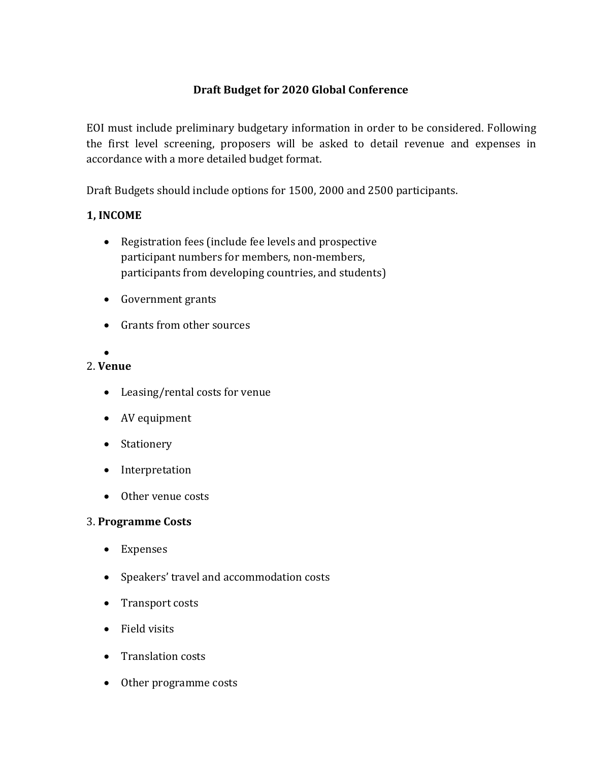# **Draft Budget for 2020 Global Conference**

EOI must include preliminary budgetary information in order to be considered. Following the first level screening, proposers will be asked to detail revenue and expenses in accordance with a more detailed budget format.

Draft Budgets should include options for 1500, 2000 and 2500 participants.

## **1, INCOME**

- Registration fees (include fee levels and prospective participant numbers for members, non-members, participants from developing countries, and students)
- Government grants
- Grants from other sources

#### $\bullet$ 2. **Venue**

- Leasing/rental costs for venue
- AV equipment
- Stationery
- Interpretation
- Other venue costs

## 3. **Programme Costs**

- Expenses
- Speakers' travel and accommodation costs
- Transport costs
- Field visits
- Translation costs
- Other programme costs